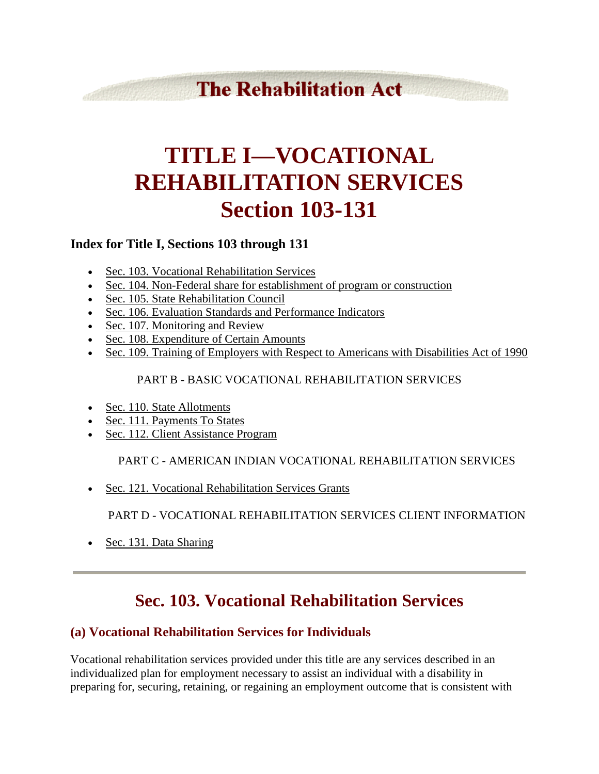

# **TITLE I—VOCATIONAL REHABILITATION SERVICES Section 103-131**

### **Index for Title I, Sections 103 through 131**

- [Sec. 103. Vocational Rehabilitation Services](http://dps.missouri.edu/resources/rehabact/Title_i/103_-131/103_-131.html#Sec.103)
- [Sec. 104. Non-Federal share for establishment of program or construction](http://dps.missouri.edu/resources/rehabact/Title_i/103_-131/103_-131.html#Sec.104)
- [Sec. 105. State Rehabilitation Council](http://dps.missouri.edu/resources/rehabact/Title_i/103_-131/103_-131.html#Sec.105)
- [Sec. 106. Evaluation Standards and Performance Indicators](http://dps.missouri.edu/resources/rehabact/Title_i/103_-131/103_-131.html#Sec.106)
- [Sec. 107. Monitoring and Review](http://dps.missouri.edu/resources/rehabact/Title_i/103_-131/103_-131.html#Sec.107)
- [Sec. 108. Expenditure of Certain Amounts](http://dps.missouri.edu/resources/rehabact/Title_i/103_-131/103_-131.html#Sec.108)
- [Sec. 109. Training of Employers with Respect to Americans with Disabilities Act of 1990](http://dps.missouri.edu/resources/rehabact/Title_i/103_-131/103_-131.html#Sec.109)

#### PART B - BASIC VOCATIONAL REHABILITATION SERVICES

- [Sec. 110. State Allotments](http://dps.missouri.edu/resources/rehabact/Title_i/103_-131/103_-131.html#Sec.110)
- [Sec. 111. Payments To States](http://dps.missouri.edu/resources/rehabact/Title_i/103_-131/103_-131.html#Sec.111)
- [Sec. 112. Client Assistance Program](http://dps.missouri.edu/resources/rehabact/Title_i/103_-131/103_-131.html#Sec.112)

PART C - AMERICAN INDIAN VOCATIONAL REHABILITATION SERVICES

• [Sec. 121. Vocational Rehabilitation Services Grants](http://dps.missouri.edu/resources/rehabact/Title_i/103_-131/103_-131.html#Sec.121)

PART D - VOCATIONAL REHABILITATION SERVICES CLIENT INFORMATION

• [Sec. 131. Data Sharing](http://dps.missouri.edu/resources/rehabact/Title_i/103_-131/103_-131.html)

# **Sec. 103. Vocational Rehabilitation Services**

# **(a) Vocational Rehabilitation Services for Individuals**

Vocational rehabilitation services provided under this title are any services described in an individualized plan for employment necessary to assist an individual with a disability in preparing for, securing, retaining, or regaining an employment outcome that is consistent with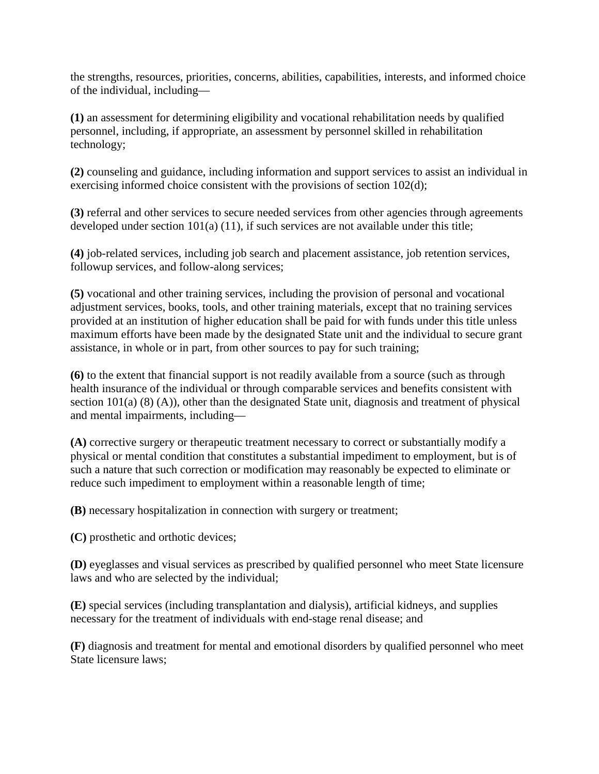the strengths, resources, priorities, concerns, abilities, capabilities, interests, and informed choice of the individual, including—

**(1)** an assessment for determining eligibility and vocational rehabilitation needs by qualified personnel, including, if appropriate, an assessment by personnel skilled in rehabilitation technology;

**(2)** counseling and guidance, including information and support services to assist an individual in exercising informed choice consistent with the provisions of section 102(d);

**(3)** referral and other services to secure needed services from other agencies through agreements developed under section 101(a) (11), if such services are not available under this title;

**(4)** job-related services, including job search and placement assistance, job retention services, followup services, and follow-along services;

**(5)** vocational and other training services, including the provision of personal and vocational adjustment services, books, tools, and other training materials, except that no training services provided at an institution of higher education shall be paid for with funds under this title unless maximum efforts have been made by the designated State unit and the individual to secure grant assistance, in whole or in part, from other sources to pay for such training;

**(6)** to the extent that financial support is not readily available from a source (such as through health insurance of the individual or through comparable services and benefits consistent with section 101(a) (8) (A)), other than the designated State unit, diagnosis and treatment of physical and mental impairments, including—

**(A)** corrective surgery or therapeutic treatment necessary to correct or substantially modify a physical or mental condition that constitutes a substantial impediment to employment, but is of such a nature that such correction or modification may reasonably be expected to eliminate or reduce such impediment to employment within a reasonable length of time;

**(B)** necessary hospitalization in connection with surgery or treatment;

**(C)** prosthetic and orthotic devices;

**(D)** eyeglasses and visual services as prescribed by qualified personnel who meet State licensure laws and who are selected by the individual;

**(E)** special services (including transplantation and dialysis), artificial kidneys, and supplies necessary for the treatment of individuals with end-stage renal disease; and

**(F)** diagnosis and treatment for mental and emotional disorders by qualified personnel who meet State licensure laws;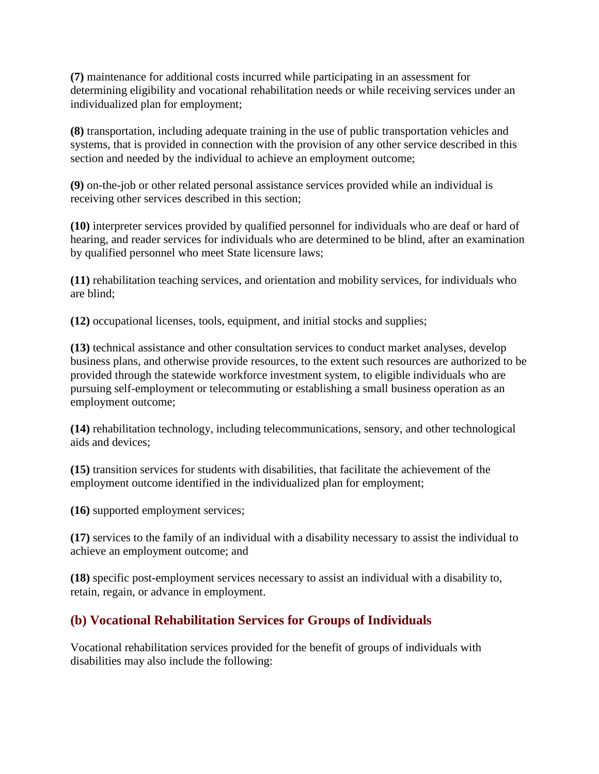**(7)** maintenance for additional costs incurred while participating in an assessment for determining eligibility and vocational rehabilitation needs or while receiving services under an individualized plan for employment;

**(8)** transportation, including adequate training in the use of public transportation vehicles and systems, that is provided in connection with the provision of any other service described in this section and needed by the individual to achieve an employment outcome;

**(9)** on-the-job or other related personal assistance services provided while an individual is receiving other services described in this section;

**(10)** interpreter services provided by qualified personnel for individuals who are deaf or hard of hearing, and reader services for individuals who are determined to be blind, after an examination by qualified personnel who meet State licensure laws;

**(11)** rehabilitation teaching services, and orientation and mobility services, for individuals who are blind;

**(12)** occupational licenses, tools, equipment, and initial stocks and supplies;

**(13)** technical assistance and other consultation services to conduct market analyses, develop business plans, and otherwise provide resources, to the extent such resources are authorized to be provided through the statewide workforce investment system, to eligible individuals who are pursuing self-employment or telecommuting or establishing a small business operation as an employment outcome;

**(14)** rehabilitation technology, including telecommunications, sensory, and other technological aids and devices;

**(15)** transition services for students with disabilities, that facilitate the achievement of the employment outcome identified in the individualized plan for employment;

**(16)** supported employment services;

**(17)** services to the family of an individual with a disability necessary to assist the individual to achieve an employment outcome; and

**(18)** specific post-employment services necessary to assist an individual with a disability to, retain, regain, or advance in employment.

# **(b) Vocational Rehabilitation Services for Groups of Individuals**

Vocational rehabilitation services provided for the benefit of groups of individuals with disabilities may also include the following: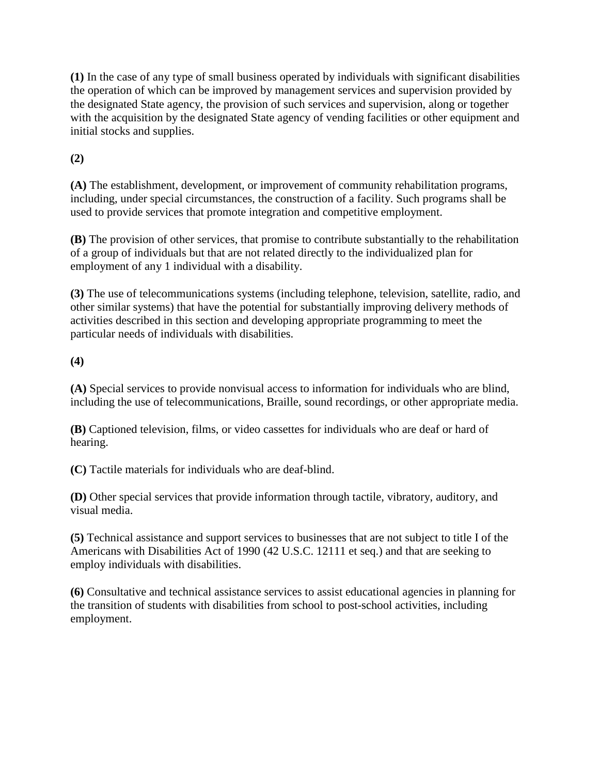**(1)** In the case of any type of small business operated by individuals with significant disabilities the operation of which can be improved by management services and supervision provided by the designated State agency, the provision of such services and supervision, along or together with the acquisition by the designated State agency of vending facilities or other equipment and initial stocks and supplies.

**(2)**

**(A)** The establishment, development, or improvement of community rehabilitation programs, including, under special circumstances, the construction of a facility. Such programs shall be used to provide services that promote integration and competitive employment.

**(B)** The provision of other services, that promise to contribute substantially to the rehabilitation of a group of individuals but that are not related directly to the individualized plan for employment of any 1 individual with a disability.

**(3)** The use of telecommunications systems (including telephone, television, satellite, radio, and other similar systems) that have the potential for substantially improving delivery methods of activities described in this section and developing appropriate programming to meet the particular needs of individuals with disabilities.

**(4)**

**(A)** Special services to provide nonvisual access to information for individuals who are blind, including the use of telecommunications, Braille, sound recordings, or other appropriate media.

**(B)** Captioned television, films, or video cassettes for individuals who are deaf or hard of hearing.

**(C)** Tactile materials for individuals who are deaf-blind.

**(D)** Other special services that provide information through tactile, vibratory, auditory, and visual media.

**(5)** Technical assistance and support services to businesses that are not subject to title I of the Americans with Disabilities Act of 1990 (42 U.S.C. 12111 et seq.) and that are seeking to employ individuals with disabilities.

**(6)** Consultative and technical assistance services to assist educational agencies in planning for the transition of students with disabilities from school to post-school activities, including employment.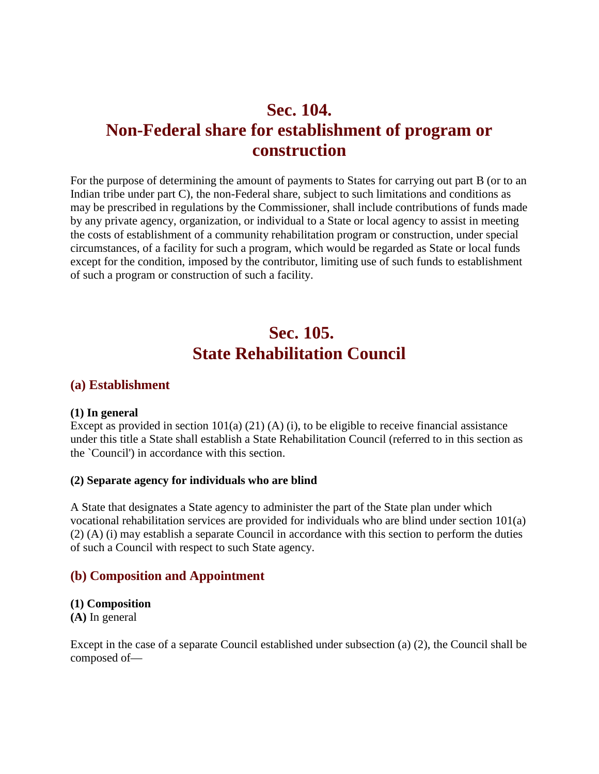# **Sec. 104. Non-Federal share for establishment of program or construction**

For the purpose of determining the amount of payments to States for carrying out part B (or to an Indian tribe under part C), the non-Federal share, subject to such limitations and conditions as may be prescribed in regulations by the Commissioner, shall include contributions of funds made by any private agency, organization, or individual to a State or local agency to assist in meeting the costs of establishment of a community rehabilitation program or construction, under special circumstances, of a facility for such a program, which would be regarded as State or local funds except for the condition, imposed by the contributor, limiting use of such funds to establishment of such a program or construction of such a facility.

# **Sec. 105. State Rehabilitation Council**

#### **(a) Establishment**

#### **(1) In general**

Except as provided in section 101(a) (21) (A) (i), to be eligible to receive financial assistance under this title a State shall establish a State Rehabilitation Council (referred to in this section as the `Council') in accordance with this section.

#### **(2) Separate agency for individuals who are blind**

A State that designates a State agency to administer the part of the State plan under which vocational rehabilitation services are provided for individuals who are blind under section 101(a) (2) (A) (i) may establish a separate Council in accordance with this section to perform the duties of such a Council with respect to such State agency.

#### **(b) Composition and Appointment**

#### **(1) Composition**

**(A)** In general

Except in the case of a separate Council established under subsection (a) (2), the Council shall be composed of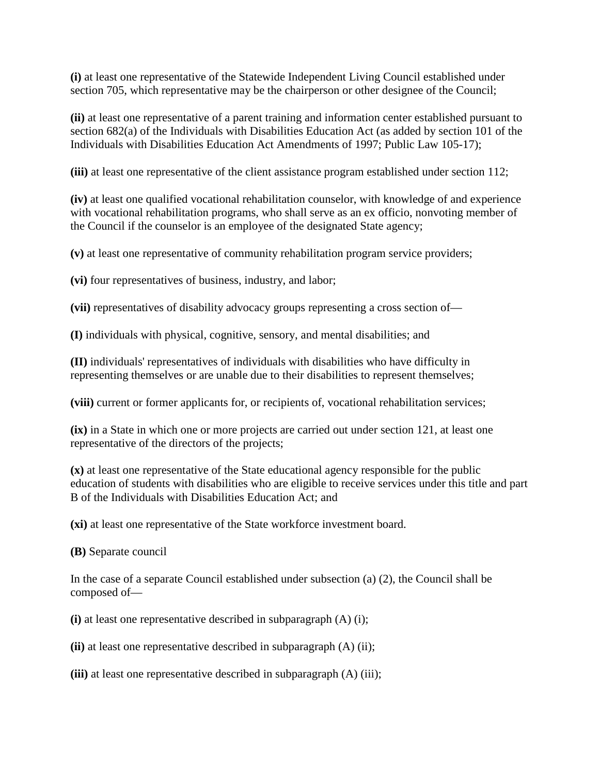**(i)** at least one representative of the Statewide Independent Living Council established under section 705, which representative may be the chairperson or other designee of the Council;

**(ii)** at least one representative of a parent training and information center established pursuant to section 682(a) of the Individuals with Disabilities Education Act (as added by section 101 of the Individuals with Disabilities Education Act Amendments of 1997; Public Law 105-17);

**(iii)** at least one representative of the client assistance program established under section 112;

**(iv)** at least one qualified vocational rehabilitation counselor, with knowledge of and experience with vocational rehabilitation programs, who shall serve as an ex officio, nonvoting member of the Council if the counselor is an employee of the designated State agency;

**(v)** at least one representative of community rehabilitation program service providers;

**(vi)** four representatives of business, industry, and labor;

**(vii)** representatives of disability advocacy groups representing a cross section of—

**(I)** individuals with physical, cognitive, sensory, and mental disabilities; and

**(II)** individuals' representatives of individuals with disabilities who have difficulty in representing themselves or are unable due to their disabilities to represent themselves;

**(viii)** current or former applicants for, or recipients of, vocational rehabilitation services;

**(ix)** in a State in which one or more projects are carried out under section 121, at least one representative of the directors of the projects;

**(x)** at least one representative of the State educational agency responsible for the public education of students with disabilities who are eligible to receive services under this title and part B of the Individuals with Disabilities Education Act; and

**(xi)** at least one representative of the State workforce investment board.

**(B)** Separate council

In the case of a separate Council established under subsection (a) (2), the Council shall be composed of—

**(i)** at least one representative described in subparagraph (A) (i);

**(ii)** at least one representative described in subparagraph (A) (ii);

**(iii)** at least one representative described in subparagraph (A) (iii);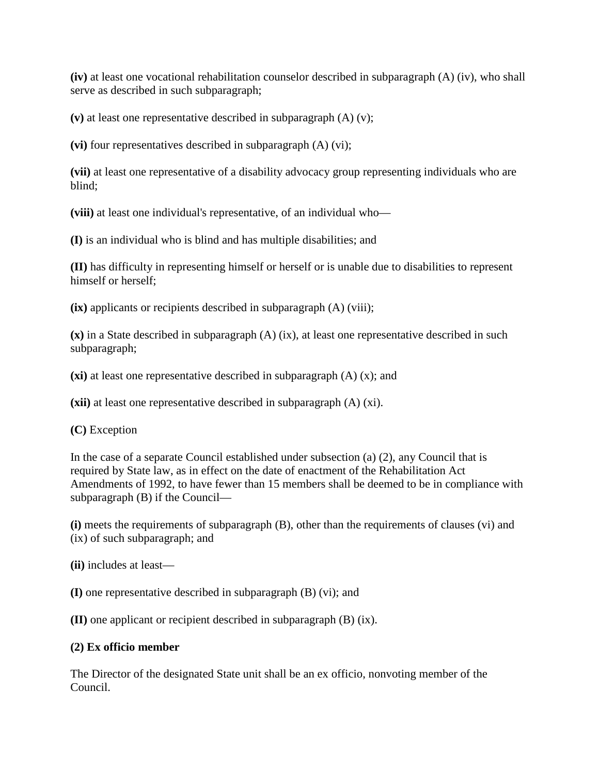**(iv)** at least one vocational rehabilitation counselor described in subparagraph (A) (iv), who shall serve as described in such subparagraph;

**(v)** at least one representative described in subparagraph (A) (v);

**(vi)** four representatives described in subparagraph (A) (vi);

**(vii)** at least one representative of a disability advocacy group representing individuals who are blind;

**(viii)** at least one individual's representative, of an individual who—

**(I)** is an individual who is blind and has multiple disabilities; and

**(II)** has difficulty in representing himself or herself or is unable due to disabilities to represent himself or herself;

**(ix)** applicants or recipients described in subparagraph (A) (viii);

**(x)** in a State described in subparagraph (A) (ix), at least one representative described in such subparagraph;

**(xi)** at least one representative described in subparagraph (A) (x); and

**(xii)** at least one representative described in subparagraph (A) (xi).

#### **(C)** Exception

In the case of a separate Council established under subsection (a) (2), any Council that is required by State law, as in effect on the date of enactment of the Rehabilitation Act Amendments of 1992, to have fewer than 15 members shall be deemed to be in compliance with subparagraph (B) if the Council—

**(i)** meets the requirements of subparagraph (B), other than the requirements of clauses (vi) and (ix) of such subparagraph; and

**(ii)** includes at least—

**(I)** one representative described in subparagraph (B) (vi); and

**(II)** one applicant or recipient described in subparagraph (B) (ix).

#### **(2) Ex officio member**

The Director of the designated State unit shall be an ex officio, nonvoting member of the Council.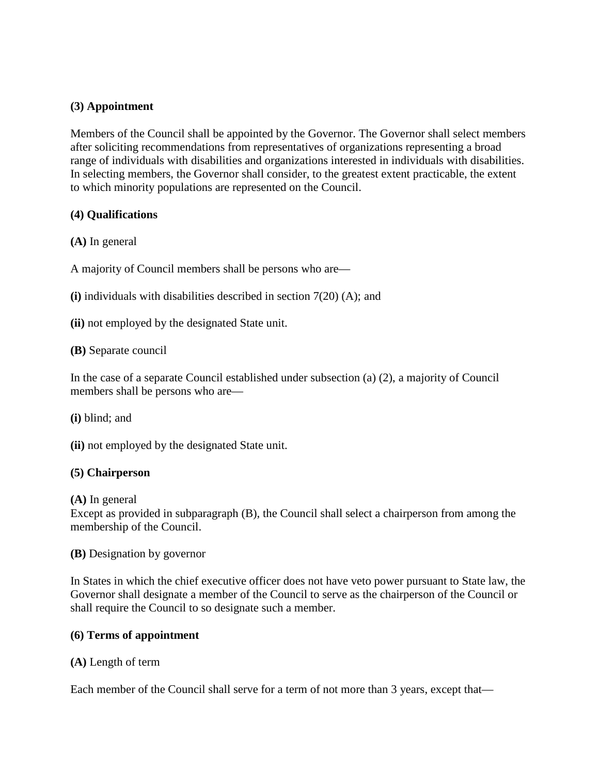#### **(3) Appointment**

Members of the Council shall be appointed by the Governor. The Governor shall select members after soliciting recommendations from representatives of organizations representing a broad range of individuals with disabilities and organizations interested in individuals with disabilities. In selecting members, the Governor shall consider, to the greatest extent practicable, the extent to which minority populations are represented on the Council.

#### **(4) Qualifications**

**(A)** In general

A majority of Council members shall be persons who are—

- **(i)** individuals with disabilities described in section 7(20) (A); and
- **(ii)** not employed by the designated State unit.

#### **(B)** Separate council

In the case of a separate Council established under subsection (a) (2), a majority of Council members shall be persons who are—

**(i)** blind; and

**(ii)** not employed by the designated State unit.

#### **(5) Chairperson**

**(A)** In general

Except as provided in subparagraph (B), the Council shall select a chairperson from among the membership of the Council.

**(B)** Designation by governor

In States in which the chief executive officer does not have veto power pursuant to State law, the Governor shall designate a member of the Council to serve as the chairperson of the Council or shall require the Council to so designate such a member.

#### **(6) Terms of appointment**

#### **(A)** Length of term

Each member of the Council shall serve for a term of not more than 3 years, except that—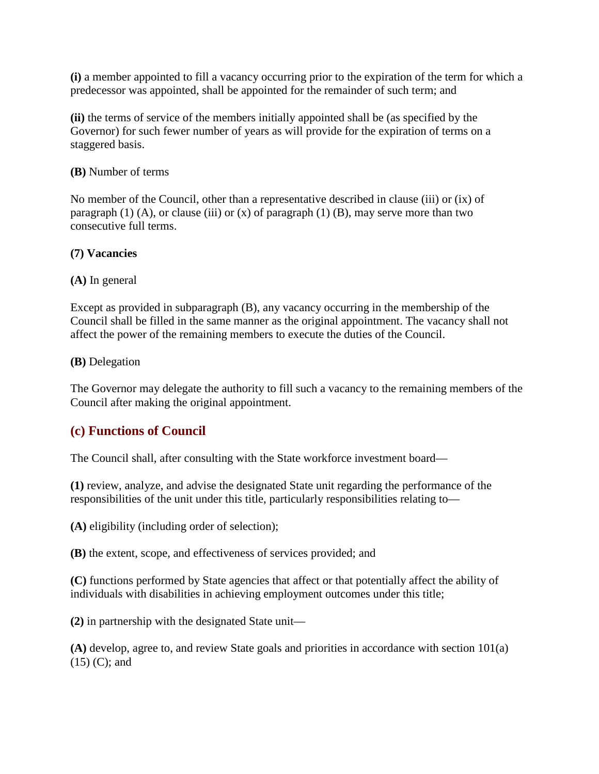**(i)** a member appointed to fill a vacancy occurring prior to the expiration of the term for which a predecessor was appointed, shall be appointed for the remainder of such term; and

**(ii)** the terms of service of the members initially appointed shall be (as specified by the Governor) for such fewer number of years as will provide for the expiration of terms on a staggered basis.

#### **(B)** Number of terms

No member of the Council, other than a representative described in clause (iii) or (ix) of paragraph (1) (A), or clause (iii) or  $(x)$  of paragraph (1) (B), may serve more than two consecutive full terms.

### **(7) Vacancies**

#### **(A)** In general

Except as provided in subparagraph (B), any vacancy occurring in the membership of the Council shall be filled in the same manner as the original appointment. The vacancy shall not affect the power of the remaining members to execute the duties of the Council.

#### **(B)** Delegation

The Governor may delegate the authority to fill such a vacancy to the remaining members of the Council after making the original appointment.

# **(c) Functions of Council**

The Council shall, after consulting with the State workforce investment board—

**(1)** review, analyze, and advise the designated State unit regarding the performance of the responsibilities of the unit under this title, particularly responsibilities relating to—

**(A)** eligibility (including order of selection);

**(B)** the extent, scope, and effectiveness of services provided; and

**(C)** functions performed by State agencies that affect or that potentially affect the ability of individuals with disabilities in achieving employment outcomes under this title;

**(2)** in partnership with the designated State unit—

**(A)** develop, agree to, and review State goals and priorities in accordance with section 101(a) (15) (C); and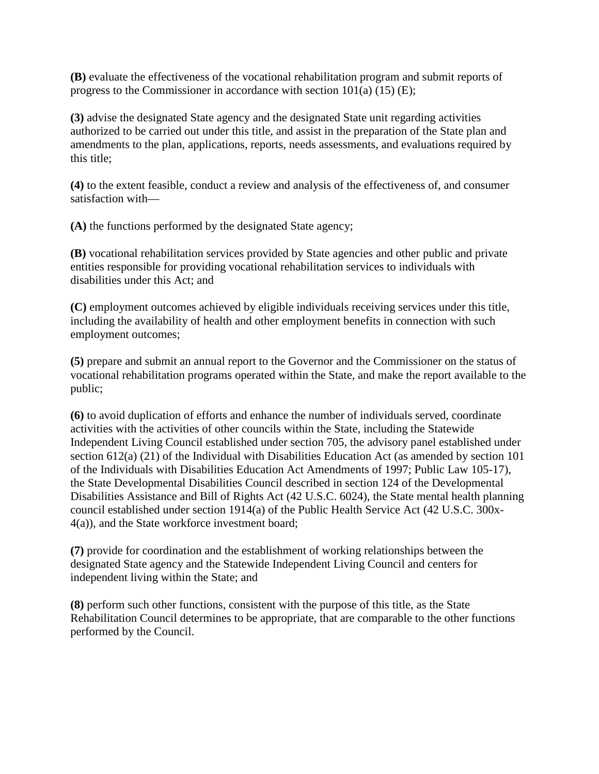**(B)** evaluate the effectiveness of the vocational rehabilitation program and submit reports of progress to the Commissioner in accordance with section 101(a) (15) (E);

**(3)** advise the designated State agency and the designated State unit regarding activities authorized to be carried out under this title, and assist in the preparation of the State plan and amendments to the plan, applications, reports, needs assessments, and evaluations required by this title;

**(4)** to the extent feasible, conduct a review and analysis of the effectiveness of, and consumer satisfaction with—

**(A)** the functions performed by the designated State agency;

**(B)** vocational rehabilitation services provided by State agencies and other public and private entities responsible for providing vocational rehabilitation services to individuals with disabilities under this Act; and

**(C)** employment outcomes achieved by eligible individuals receiving services under this title, including the availability of health and other employment benefits in connection with such employment outcomes;

**(5)** prepare and submit an annual report to the Governor and the Commissioner on the status of vocational rehabilitation programs operated within the State, and make the report available to the public;

**(6)** to avoid duplication of efforts and enhance the number of individuals served, coordinate activities with the activities of other councils within the State, including the Statewide Independent Living Council established under section 705, the advisory panel established under section 612(a) (21) of the Individual with Disabilities Education Act (as amended by section 101 of the Individuals with Disabilities Education Act Amendments of 1997; Public Law 105-17), the State Developmental Disabilities Council described in section 124 of the Developmental Disabilities Assistance and Bill of Rights Act (42 U.S.C. 6024), the State mental health planning council established under section 1914(a) of the Public Health Service Act (42 U.S.C. 300x-4(a)), and the State workforce investment board;

**(7)** provide for coordination and the establishment of working relationships between the designated State agency and the Statewide Independent Living Council and centers for independent living within the State; and

**(8)** perform such other functions, consistent with the purpose of this title, as the State Rehabilitation Council determines to be appropriate, that are comparable to the other functions performed by the Council.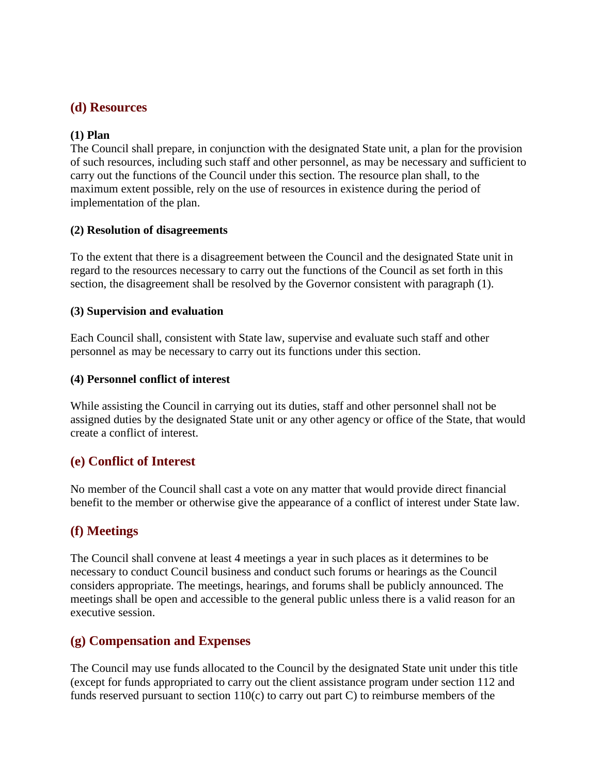#### **(d) Resources**

#### **(1) Plan**

The Council shall prepare, in conjunction with the designated State unit, a plan for the provision of such resources, including such staff and other personnel, as may be necessary and sufficient to carry out the functions of the Council under this section. The resource plan shall, to the maximum extent possible, rely on the use of resources in existence during the period of implementation of the plan.

#### **(2) Resolution of disagreements**

To the extent that there is a disagreement between the Council and the designated State unit in regard to the resources necessary to carry out the functions of the Council as set forth in this section, the disagreement shall be resolved by the Governor consistent with paragraph (1).

#### **(3) Supervision and evaluation**

Each Council shall, consistent with State law, supervise and evaluate such staff and other personnel as may be necessary to carry out its functions under this section.

#### **(4) Personnel conflict of interest**

While assisting the Council in carrying out its duties, staff and other personnel shall not be assigned duties by the designated State unit or any other agency or office of the State, that would create a conflict of interest.

### **(e) Conflict of Interest**

No member of the Council shall cast a vote on any matter that would provide direct financial benefit to the member or otherwise give the appearance of a conflict of interest under State law.

### **(f) Meetings**

The Council shall convene at least 4 meetings a year in such places as it determines to be necessary to conduct Council business and conduct such forums or hearings as the Council considers appropriate. The meetings, hearings, and forums shall be publicly announced. The meetings shall be open and accessible to the general public unless there is a valid reason for an executive session.

### **(g) Compensation and Expenses**

The Council may use funds allocated to the Council by the designated State unit under this title (except for funds appropriated to carry out the client assistance program under section 112 and funds reserved pursuant to section  $110(c)$  to carry out part C) to reimburse members of the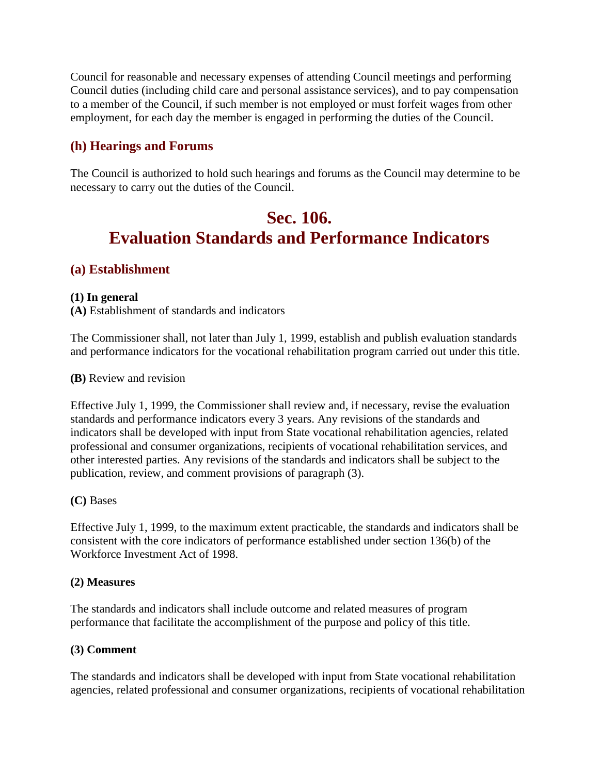Council for reasonable and necessary expenses of attending Council meetings and performing Council duties (including child care and personal assistance services), and to pay compensation to a member of the Council, if such member is not employed or must forfeit wages from other employment, for each day the member is engaged in performing the duties of the Council.

## **(h) Hearings and Forums**

The Council is authorized to hold such hearings and forums as the Council may determine to be necessary to carry out the duties of the Council.

# **Sec. 106. Evaluation Standards and Performance Indicators**

#### **(a) Establishment**

#### **(1) In general**

**(A)** Establishment of standards and indicators

The Commissioner shall, not later than July 1, 1999, establish and publish evaluation standards and performance indicators for the vocational rehabilitation program carried out under this title.

**(B)** Review and revision

Effective July 1, 1999, the Commissioner shall review and, if necessary, revise the evaluation standards and performance indicators every 3 years. Any revisions of the standards and indicators shall be developed with input from State vocational rehabilitation agencies, related professional and consumer organizations, recipients of vocational rehabilitation services, and other interested parties. Any revisions of the standards and indicators shall be subject to the publication, review, and comment provisions of paragraph (3).

#### **(C)** Bases

Effective July 1, 1999, to the maximum extent practicable, the standards and indicators shall be consistent with the core indicators of performance established under section 136(b) of the Workforce Investment Act of 1998.

#### **(2) Measures**

The standards and indicators shall include outcome and related measures of program performance that facilitate the accomplishment of the purpose and policy of this title.

#### **(3) Comment**

The standards and indicators shall be developed with input from State vocational rehabilitation agencies, related professional and consumer organizations, recipients of vocational rehabilitation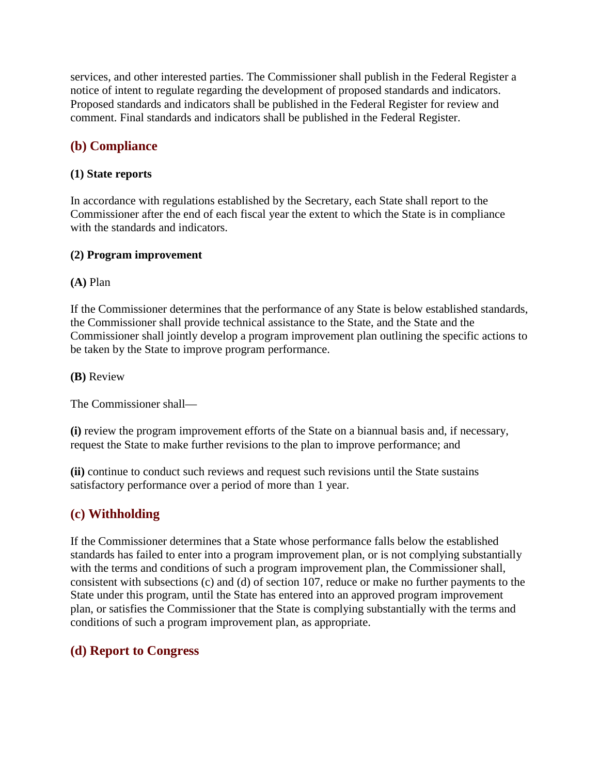services, and other interested parties. The Commissioner shall publish in the Federal Register a notice of intent to regulate regarding the development of proposed standards and indicators. Proposed standards and indicators shall be published in the Federal Register for review and comment. Final standards and indicators shall be published in the Federal Register.

## **(b) Compliance**

#### **(1) State reports**

In accordance with regulations established by the Secretary, each State shall report to the Commissioner after the end of each fiscal year the extent to which the State is in compliance with the standards and indicators.

#### **(2) Program improvement**

**(A)** Plan

If the Commissioner determines that the performance of any State is below established standards, the Commissioner shall provide technical assistance to the State, and the State and the Commissioner shall jointly develop a program improvement plan outlining the specific actions to be taken by the State to improve program performance.

**(B)** Review

The Commissioner shall—

**(i)** review the program improvement efforts of the State on a biannual basis and, if necessary, request the State to make further revisions to the plan to improve performance; and

**(ii)** continue to conduct such reviews and request such revisions until the State sustains satisfactory performance over a period of more than 1 year.

# **(c) Withholding**

If the Commissioner determines that a State whose performance falls below the established standards has failed to enter into a program improvement plan, or is not complying substantially with the terms and conditions of such a program improvement plan, the Commissioner shall, consistent with subsections (c) and (d) of section 107, reduce or make no further payments to the State under this program, until the State has entered into an approved program improvement plan, or satisfies the Commissioner that the State is complying substantially with the terms and conditions of such a program improvement plan, as appropriate.

### **(d) Report to Congress**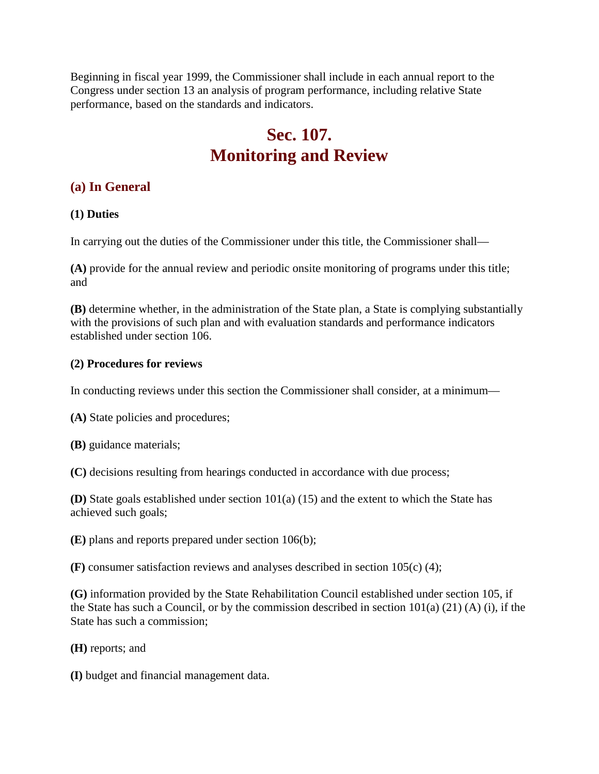Beginning in fiscal year 1999, the Commissioner shall include in each annual report to the Congress under section 13 an analysis of program performance, including relative State performance, based on the standards and indicators.

# **Sec. 107. Monitoring and Review**

## **(a) In General**

#### **(1) Duties**

In carrying out the duties of the Commissioner under this title, the Commissioner shall—

**(A)** provide for the annual review and periodic onsite monitoring of programs under this title; and

**(B)** determine whether, in the administration of the State plan, a State is complying substantially with the provisions of such plan and with evaluation standards and performance indicators established under section 106.

#### **(2) Procedures for reviews**

In conducting reviews under this section the Commissioner shall consider, at a minimum—

**(A)** State policies and procedures;

**(B)** guidance materials;

**(C)** decisions resulting from hearings conducted in accordance with due process;

**(D)** State goals established under section 101(a) (15) and the extent to which the State has achieved such goals;

**(E)** plans and reports prepared under section 106(b);

**(F)** consumer satisfaction reviews and analyses described in section 105(c) (4);

**(G)** information provided by the State Rehabilitation Council established under section 105, if the State has such a Council, or by the commission described in section 101(a) (21) (A) (i), if the State has such a commission;

**(H)** reports; and

**(I)** budget and financial management data.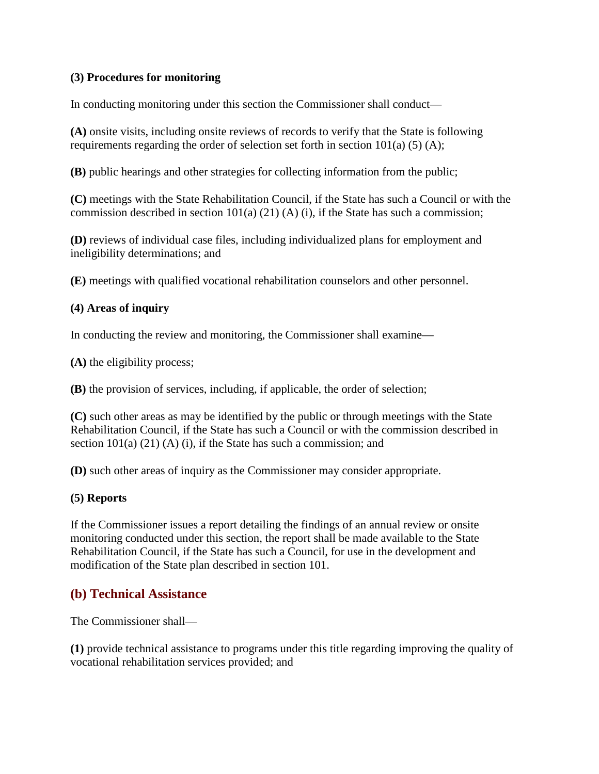#### **(3) Procedures for monitoring**

In conducting monitoring under this section the Commissioner shall conduct—

**(A)** onsite visits, including onsite reviews of records to verify that the State is following requirements regarding the order of selection set forth in section  $101(a)$  (5) (A);

**(B)** public hearings and other strategies for collecting information from the public;

**(C)** meetings with the State Rehabilitation Council, if the State has such a Council or with the commission described in section 101(a) (21) (A) (i), if the State has such a commission;

**(D)** reviews of individual case files, including individualized plans for employment and ineligibility determinations; and

**(E)** meetings with qualified vocational rehabilitation counselors and other personnel.

#### **(4) Areas of inquiry**

In conducting the review and monitoring, the Commissioner shall examine—

**(A)** the eligibility process;

**(B)** the provision of services, including, if applicable, the order of selection;

**(C)** such other areas as may be identified by the public or through meetings with the State Rehabilitation Council, if the State has such a Council or with the commission described in section  $101(a)$   $(21)$   $(A)$   $(i)$ , if the State has such a commission; and

**(D)** such other areas of inquiry as the Commissioner may consider appropriate.

#### **(5) Reports**

If the Commissioner issues a report detailing the findings of an annual review or onsite monitoring conducted under this section, the report shall be made available to the State Rehabilitation Council, if the State has such a Council, for use in the development and modification of the State plan described in section 101.

### **(b) Technical Assistance**

The Commissioner shall—

**(1)** provide technical assistance to programs under this title regarding improving the quality of vocational rehabilitation services provided; and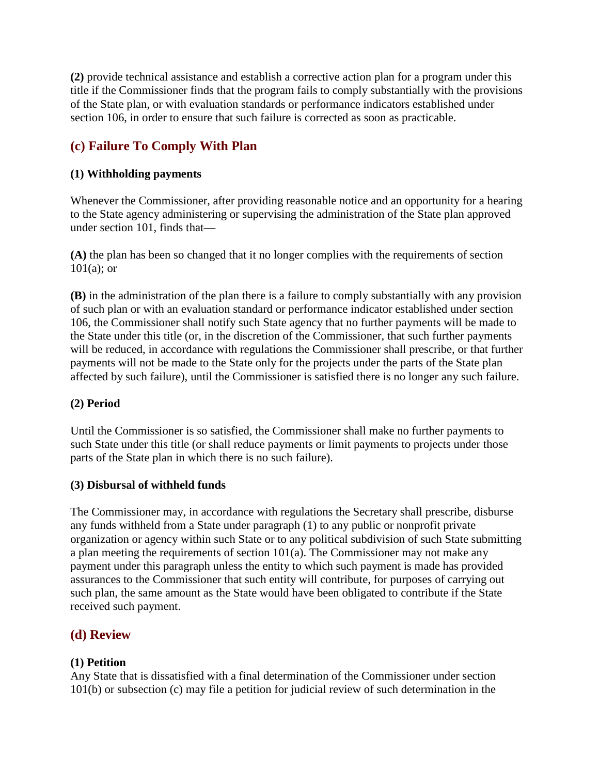**(2)** provide technical assistance and establish a corrective action plan for a program under this title if the Commissioner finds that the program fails to comply substantially with the provisions of the State plan, or with evaluation standards or performance indicators established under section 106, in order to ensure that such failure is corrected as soon as practicable.

# **(c) Failure To Comply With Plan**

#### **(1) Withholding payments**

Whenever the Commissioner, after providing reasonable notice and an opportunity for a hearing to the State agency administering or supervising the administration of the State plan approved under section 101, finds that—

**(A)** the plan has been so changed that it no longer complies with the requirements of section  $101(a)$ ; or

**(B)** in the administration of the plan there is a failure to comply substantially with any provision of such plan or with an evaluation standard or performance indicator established under section 106, the Commissioner shall notify such State agency that no further payments will be made to the State under this title (or, in the discretion of the Commissioner, that such further payments will be reduced, in accordance with regulations the Commissioner shall prescribe, or that further payments will not be made to the State only for the projects under the parts of the State plan affected by such failure), until the Commissioner is satisfied there is no longer any such failure.

#### **(2) Period**

Until the Commissioner is so satisfied, the Commissioner shall make no further payments to such State under this title (or shall reduce payments or limit payments to projects under those parts of the State plan in which there is no such failure).

#### **(3) Disbursal of withheld funds**

The Commissioner may, in accordance with regulations the Secretary shall prescribe, disburse any funds withheld from a State under paragraph (1) to any public or nonprofit private organization or agency within such State or to any political subdivision of such State submitting a plan meeting the requirements of section 101(a). The Commissioner may not make any payment under this paragraph unless the entity to which such payment is made has provided assurances to the Commissioner that such entity will contribute, for purposes of carrying out such plan, the same amount as the State would have been obligated to contribute if the State received such payment.

### **(d) Review**

### **(1) Petition**

Any State that is dissatisfied with a final determination of the Commissioner under section 101(b) or subsection (c) may file a petition for judicial review of such determination in the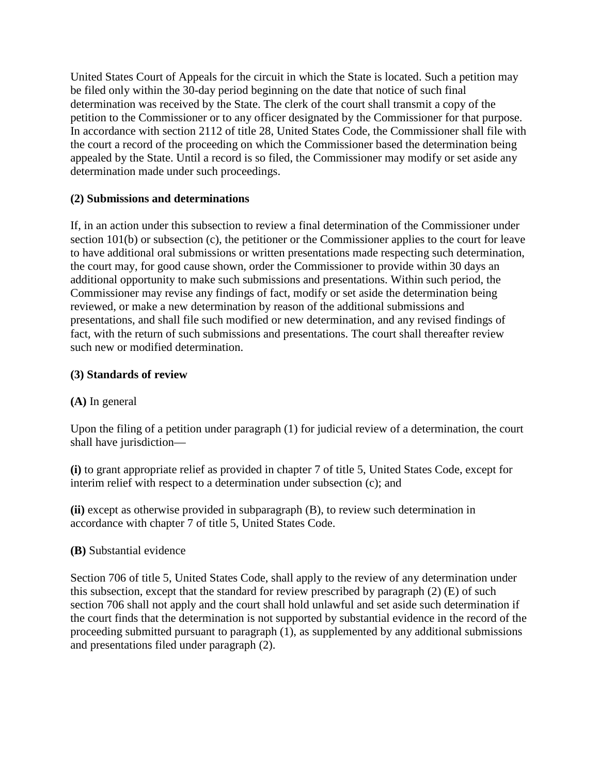United States Court of Appeals for the circuit in which the State is located. Such a petition may be filed only within the 30-day period beginning on the date that notice of such final determination was received by the State. The clerk of the court shall transmit a copy of the petition to the Commissioner or to any officer designated by the Commissioner for that purpose. In accordance with section 2112 of title 28, United States Code, the Commissioner shall file with the court a record of the proceeding on which the Commissioner based the determination being appealed by the State. Until a record is so filed, the Commissioner may modify or set aside any determination made under such proceedings.

#### **(2) Submissions and determinations**

If, in an action under this subsection to review a final determination of the Commissioner under section 101(b) or subsection (c), the petitioner or the Commissioner applies to the court for leave to have additional oral submissions or written presentations made respecting such determination, the court may, for good cause shown, order the Commissioner to provide within 30 days an additional opportunity to make such submissions and presentations. Within such period, the Commissioner may revise any findings of fact, modify or set aside the determination being reviewed, or make a new determination by reason of the additional submissions and presentations, and shall file such modified or new determination, and any revised findings of fact, with the return of such submissions and presentations. The court shall thereafter review such new or modified determination.

#### **(3) Standards of review**

**(A)** In general

Upon the filing of a petition under paragraph (1) for judicial review of a determination, the court shall have jurisdiction—

**(i)** to grant appropriate relief as provided in chapter 7 of title 5, United States Code, except for interim relief with respect to a determination under subsection (c); and

**(ii)** except as otherwise provided in subparagraph (B), to review such determination in accordance with chapter 7 of title 5, United States Code.

#### **(B)** Substantial evidence

Section 706 of title 5, United States Code, shall apply to the review of any determination under this subsection, except that the standard for review prescribed by paragraph (2) (E) of such section 706 shall not apply and the court shall hold unlawful and set aside such determination if the court finds that the determination is not supported by substantial evidence in the record of the proceeding submitted pursuant to paragraph (1), as supplemented by any additional submissions and presentations filed under paragraph (2).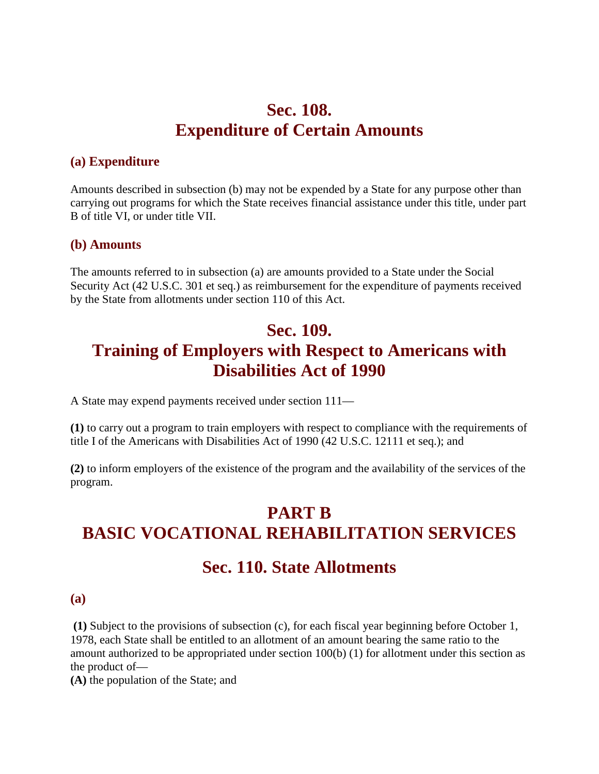# **Sec. 108. Expenditure of Certain Amounts**

#### **(a) Expenditure**

Amounts described in subsection (b) may not be expended by a State for any purpose other than carrying out programs for which the State receives financial assistance under this title, under part B of title VI, or under title VII.

#### **(b) Amounts**

The amounts referred to in subsection (a) are amounts provided to a State under the Social Security Act (42 U.S.C. 301 et seq.) as reimbursement for the expenditure of payments received by the State from allotments under section 110 of this Act.

# **Sec. 109. Training of Employers with Respect to Americans with Disabilities Act of 1990**

A State may expend payments received under section 111—

**(1)** to carry out a program to train employers with respect to compliance with the requirements of title I of the Americans with Disabilities Act of 1990 (42 U.S.C. 12111 et seq.); and

**(2)** to inform employers of the existence of the program and the availability of the services of the program.

# **PART B BASIC VOCATIONAL REHABILITATION SERVICES**

# **Sec. 110. State Allotments**

#### **(a)**

**(1)** Subject to the provisions of subsection (c), for each fiscal year beginning before October 1, 1978, each State shall be entitled to an allotment of an amount bearing the same ratio to the amount authorized to be appropriated under section 100(b) (1) for allotment under this section as the product of—

**(A)** the population of the State; and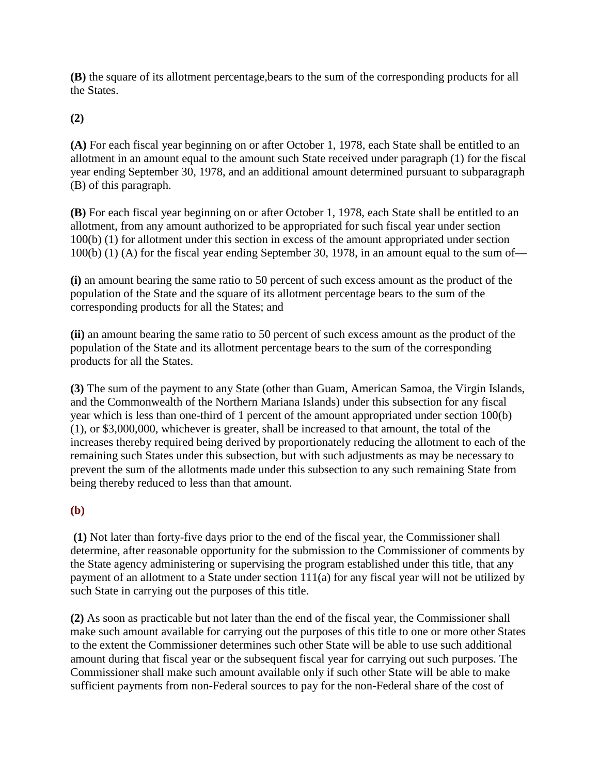**(B)** the square of its allotment percentage,bears to the sum of the corresponding products for all the States.

#### **(2)**

**(A)** For each fiscal year beginning on or after October 1, 1978, each State shall be entitled to an allotment in an amount equal to the amount such State received under paragraph (1) for the fiscal year ending September 30, 1978, and an additional amount determined pursuant to subparagraph (B) of this paragraph.

**(B)** For each fiscal year beginning on or after October 1, 1978, each State shall be entitled to an allotment, from any amount authorized to be appropriated for such fiscal year under section 100(b) (1) for allotment under this section in excess of the amount appropriated under section 100(b) (1) (A) for the fiscal year ending September 30, 1978, in an amount equal to the sum of—

**(i)** an amount bearing the same ratio to 50 percent of such excess amount as the product of the population of the State and the square of its allotment percentage bears to the sum of the corresponding products for all the States; and

**(ii)** an amount bearing the same ratio to 50 percent of such excess amount as the product of the population of the State and its allotment percentage bears to the sum of the corresponding products for all the States.

**(3)** The sum of the payment to any State (other than Guam, American Samoa, the Virgin Islands, and the Commonwealth of the Northern Mariana Islands) under this subsection for any fiscal year which is less than one-third of 1 percent of the amount appropriated under section 100(b) (1), or \$3,000,000, whichever is greater, shall be increased to that amount, the total of the increases thereby required being derived by proportionately reducing the allotment to each of the remaining such States under this subsection, but with such adjustments as may be necessary to prevent the sum of the allotments made under this subsection to any such remaining State from being thereby reduced to less than that amount.

#### **(b)**

**(1)** Not later than forty-five days prior to the end of the fiscal year, the Commissioner shall determine, after reasonable opportunity for the submission to the Commissioner of comments by the State agency administering or supervising the program established under this title, that any payment of an allotment to a State under section 111(a) for any fiscal year will not be utilized by such State in carrying out the purposes of this title.

**(2)** As soon as practicable but not later than the end of the fiscal year, the Commissioner shall make such amount available for carrying out the purposes of this title to one or more other States to the extent the Commissioner determines such other State will be able to use such additional amount during that fiscal year or the subsequent fiscal year for carrying out such purposes. The Commissioner shall make such amount available only if such other State will be able to make sufficient payments from non-Federal sources to pay for the non-Federal share of the cost of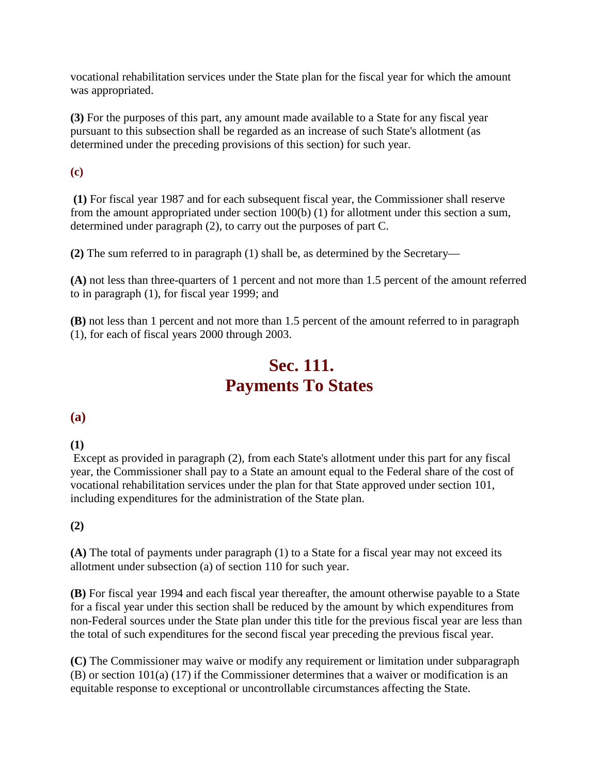vocational rehabilitation services under the State plan for the fiscal year for which the amount was appropriated.

**(3)** For the purposes of this part, any amount made available to a State for any fiscal year pursuant to this subsection shall be regarded as an increase of such State's allotment (as determined under the preceding provisions of this section) for such year.

**(c)**

**(1)** For fiscal year 1987 and for each subsequent fiscal year, the Commissioner shall reserve from the amount appropriated under section 100(b) (1) for allotment under this section a sum, determined under paragraph (2), to carry out the purposes of part C.

**(2)** The sum referred to in paragraph (1) shall be, as determined by the Secretary—

**(A)** not less than three-quarters of 1 percent and not more than 1.5 percent of the amount referred to in paragraph (1), for fiscal year 1999; and

**(B)** not less than 1 percent and not more than 1.5 percent of the amount referred to in paragraph (1), for each of fiscal years 2000 through 2003.

# **Sec. 111. Payments To States**

### **(a)**

**(1)**

Except as provided in paragraph (2), from each State's allotment under this part for any fiscal year, the Commissioner shall pay to a State an amount equal to the Federal share of the cost of vocational rehabilitation services under the plan for that State approved under section 101, including expenditures for the administration of the State plan.

#### **(2)**

**(A)** The total of payments under paragraph (1) to a State for a fiscal year may not exceed its allotment under subsection (a) of section 110 for such year.

**(B)** For fiscal year 1994 and each fiscal year thereafter, the amount otherwise payable to a State for a fiscal year under this section shall be reduced by the amount by which expenditures from non-Federal sources under the State plan under this title for the previous fiscal year are less than the total of such expenditures for the second fiscal year preceding the previous fiscal year.

**(C)** The Commissioner may waive or modify any requirement or limitation under subparagraph (B) or section 101(a) (17) if the Commissioner determines that a waiver or modification is an equitable response to exceptional or uncontrollable circumstances affecting the State.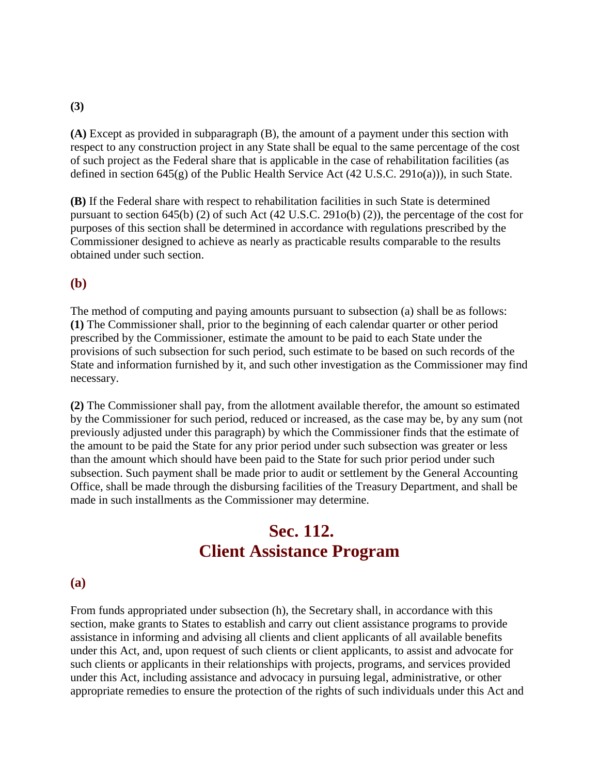#### **(3)**

**(A)** Except as provided in subparagraph (B), the amount of a payment under this section with respect to any construction project in any State shall be equal to the same percentage of the cost of such project as the Federal share that is applicable in the case of rehabilitation facilities (as defined in section 645(g) of the Public Health Service Act (42 U.S.C. 291o(a))), in such State.

**(B)** If the Federal share with respect to rehabilitation facilities in such State is determined pursuant to section 645(b) (2) of such Act (42 U.S.C. 291o(b) (2)), the percentage of the cost for purposes of this section shall be determined in accordance with regulations prescribed by the Commissioner designed to achieve as nearly as practicable results comparable to the results obtained under such section.

#### **(b)**

The method of computing and paying amounts pursuant to subsection (a) shall be as follows: **(1)** The Commissioner shall, prior to the beginning of each calendar quarter or other period prescribed by the Commissioner, estimate the amount to be paid to each State under the provisions of such subsection for such period, such estimate to be based on such records of the State and information furnished by it, and such other investigation as the Commissioner may find necessary.

**(2)** The Commissioner shall pay, from the allotment available therefor, the amount so estimated by the Commissioner for such period, reduced or increased, as the case may be, by any sum (not previously adjusted under this paragraph) by which the Commissioner finds that the estimate of the amount to be paid the State for any prior period under such subsection was greater or less than the amount which should have been paid to the State for such prior period under such subsection. Such payment shall be made prior to audit or settlement by the General Accounting Office, shall be made through the disbursing facilities of the Treasury Department, and shall be made in such installments as the Commissioner may determine.

# **Sec. 112. Client Assistance Program**

#### **(a)**

From funds appropriated under subsection (h), the Secretary shall, in accordance with this section, make grants to States to establish and carry out client assistance programs to provide assistance in informing and advising all clients and client applicants of all available benefits under this Act, and, upon request of such clients or client applicants, to assist and advocate for such clients or applicants in their relationships with projects, programs, and services provided under this Act, including assistance and advocacy in pursuing legal, administrative, or other appropriate remedies to ensure the protection of the rights of such individuals under this Act and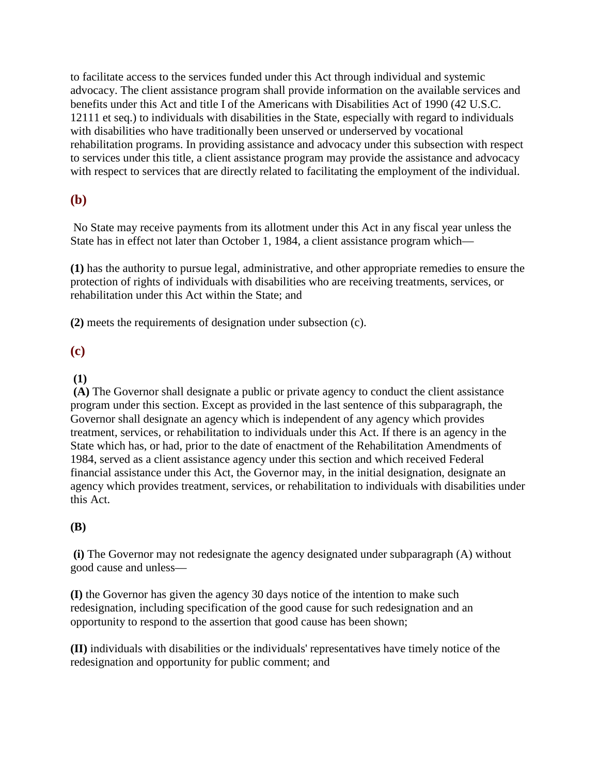to facilitate access to the services funded under this Act through individual and systemic advocacy. The client assistance program shall provide information on the available services and benefits under this Act and title I of the Americans with Disabilities Act of 1990 (42 U.S.C. 12111 et seq.) to individuals with disabilities in the State, especially with regard to individuals with disabilities who have traditionally been unserved or underserved by vocational rehabilitation programs. In providing assistance and advocacy under this subsection with respect to services under this title, a client assistance program may provide the assistance and advocacy with respect to services that are directly related to facilitating the employment of the individual.

# **(b)**

No State may receive payments from its allotment under this Act in any fiscal year unless the State has in effect not later than October 1, 1984, a client assistance program which—

**(1)** has the authority to pursue legal, administrative, and other appropriate remedies to ensure the protection of rights of individuals with disabilities who are receiving treatments, services, or rehabilitation under this Act within the State; and

**(2)** meets the requirements of designation under subsection (c).

### **(c)**

### **(1)**

**(A)** The Governor shall designate a public or private agency to conduct the client assistance program under this section. Except as provided in the last sentence of this subparagraph, the Governor shall designate an agency which is independent of any agency which provides treatment, services, or rehabilitation to individuals under this Act. If there is an agency in the State which has, or had, prior to the date of enactment of the Rehabilitation Amendments of 1984, served as a client assistance agency under this section and which received Federal financial assistance under this Act, the Governor may, in the initial designation, designate an agency which provides treatment, services, or rehabilitation to individuals with disabilities under this Act.

### **(B)**

**(i)** The Governor may not redesignate the agency designated under subparagraph (A) without good cause and unless—

**(I)** the Governor has given the agency 30 days notice of the intention to make such redesignation, including specification of the good cause for such redesignation and an opportunity to respond to the assertion that good cause has been shown;

**(II)** individuals with disabilities or the individuals' representatives have timely notice of the redesignation and opportunity for public comment; and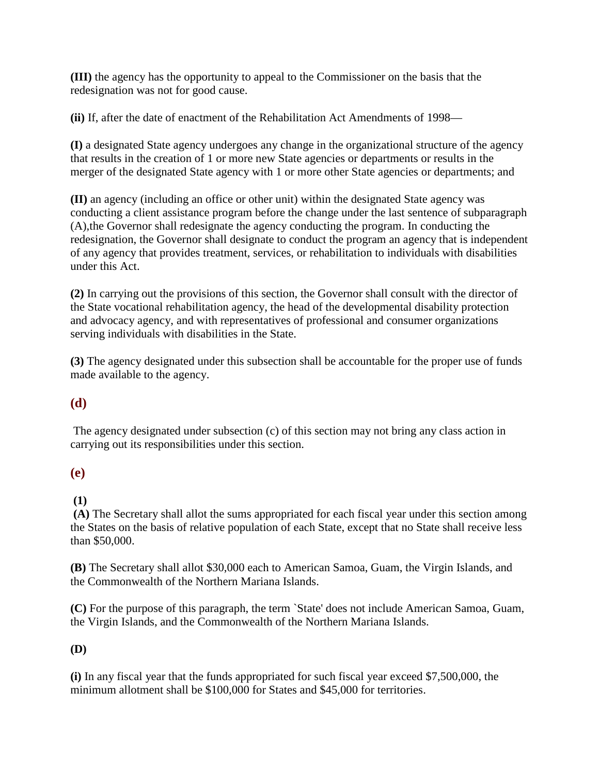**(III)** the agency has the opportunity to appeal to the Commissioner on the basis that the redesignation was not for good cause.

**(ii)** If, after the date of enactment of the Rehabilitation Act Amendments of 1998—

**(I)** a designated State agency undergoes any change in the organizational structure of the agency that results in the creation of 1 or more new State agencies or departments or results in the merger of the designated State agency with 1 or more other State agencies or departments; and

**(II)** an agency (including an office or other unit) within the designated State agency was conducting a client assistance program before the change under the last sentence of subparagraph (A),the Governor shall redesignate the agency conducting the program. In conducting the redesignation, the Governor shall designate to conduct the program an agency that is independent of any agency that provides treatment, services, or rehabilitation to individuals with disabilities under this Act.

**(2)** In carrying out the provisions of this section, the Governor shall consult with the director of the State vocational rehabilitation agency, the head of the developmental disability protection and advocacy agency, and with representatives of professional and consumer organizations serving individuals with disabilities in the State.

**(3)** The agency designated under this subsection shall be accountable for the proper use of funds made available to the agency.

### **(d)**

The agency designated under subsection (c) of this section may not bring any class action in carrying out its responsibilities under this section.

### **(e)**

**(1)**

**(A)** The Secretary shall allot the sums appropriated for each fiscal year under this section among the States on the basis of relative population of each State, except that no State shall receive less than \$50,000.

**(B)** The Secretary shall allot \$30,000 each to American Samoa, Guam, the Virgin Islands, and the Commonwealth of the Northern Mariana Islands.

**(C)** For the purpose of this paragraph, the term `State' does not include American Samoa, Guam, the Virgin Islands, and the Commonwealth of the Northern Mariana Islands.

### **(D)**

**(i)** In any fiscal year that the funds appropriated for such fiscal year exceed \$7,500,000, the minimum allotment shall be \$100,000 for States and \$45,000 for territories.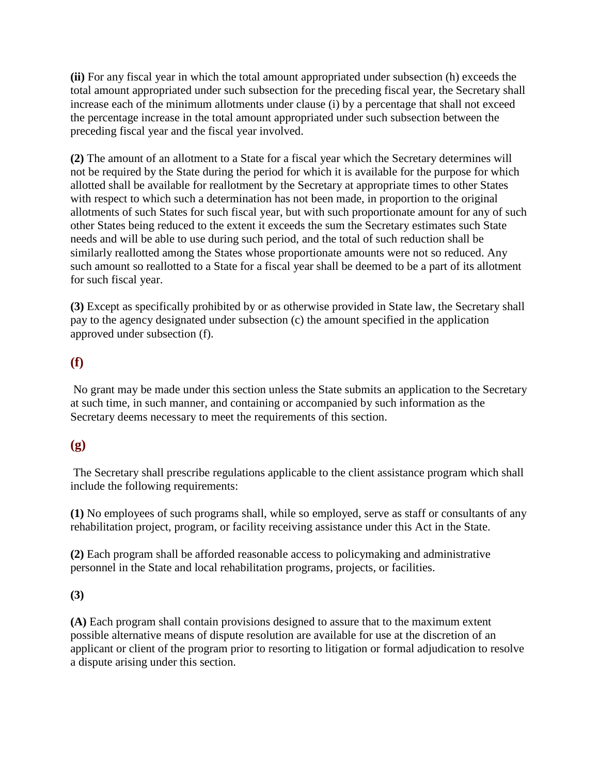**(ii)** For any fiscal year in which the total amount appropriated under subsection (h) exceeds the total amount appropriated under such subsection for the preceding fiscal year, the Secretary shall increase each of the minimum allotments under clause (i) by a percentage that shall not exceed the percentage increase in the total amount appropriated under such subsection between the preceding fiscal year and the fiscal year involved.

**(2)** The amount of an allotment to a State for a fiscal year which the Secretary determines will not be required by the State during the period for which it is available for the purpose for which allotted shall be available for reallotment by the Secretary at appropriate times to other States with respect to which such a determination has not been made, in proportion to the original allotments of such States for such fiscal year, but with such proportionate amount for any of such other States being reduced to the extent it exceeds the sum the Secretary estimates such State needs and will be able to use during such period, and the total of such reduction shall be similarly reallotted among the States whose proportionate amounts were not so reduced. Any such amount so reallotted to a State for a fiscal year shall be deemed to be a part of its allotment for such fiscal year.

**(3)** Except as specifically prohibited by or as otherwise provided in State law, the Secretary shall pay to the agency designated under subsection (c) the amount specified in the application approved under subsection (f).

# **(f)**

No grant may be made under this section unless the State submits an application to the Secretary at such time, in such manner, and containing or accompanied by such information as the Secretary deems necessary to meet the requirements of this section.

# **(g)**

The Secretary shall prescribe regulations applicable to the client assistance program which shall include the following requirements:

**(1)** No employees of such programs shall, while so employed, serve as staff or consultants of any rehabilitation project, program, or facility receiving assistance under this Act in the State.

**(2)** Each program shall be afforded reasonable access to policymaking and administrative personnel in the State and local rehabilitation programs, projects, or facilities.

#### **(3)**

**(A)** Each program shall contain provisions designed to assure that to the maximum extent possible alternative means of dispute resolution are available for use at the discretion of an applicant or client of the program prior to resorting to litigation or formal adjudication to resolve a dispute arising under this section.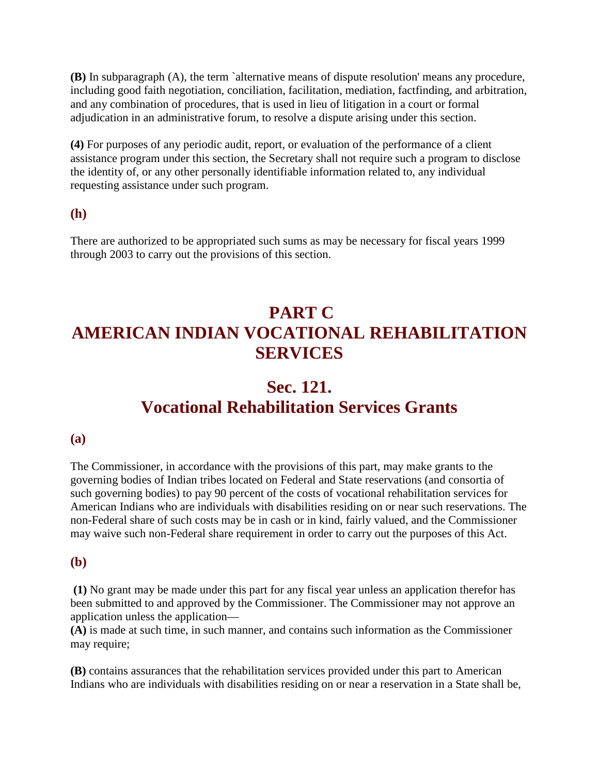**(B)** In subparagraph (A), the term `alternative means of dispute resolution' means any procedure, including good faith negotiation, conciliation, facilitation, mediation, factfinding, and arbitration, and any combination of procedures, that is used in lieu of litigation in a court or formal adjudication in an administrative forum, to resolve a dispute arising under this section.

**(4)** For purposes of any periodic audit, report, or evaluation of the performance of a client assistance program under this section, the Secretary shall not require such a program to disclose the identity of, or any other personally identifiable information related to, any individual requesting assistance under such program.

### **(h)**

There are authorized to be appropriated such sums as may be necessary for fiscal years 1999 through 2003 to carry out the provisions of this section.

# **PART C AMERICAN INDIAN VOCATIONAL REHABILITATION SERVICES**

# **Sec. 121. Vocational Rehabilitation Services Grants**

### **(a)**

The Commissioner, in accordance with the provisions of this part, may make grants to the governing bodies of Indian tribes located on Federal and State reservations (and consortia of such governing bodies) to pay 90 percent of the costs of vocational rehabilitation services for American Indians who are individuals with disabilities residing on or near such reservations. The non-Federal share of such costs may be in cash or in kind, fairly valued, and the Commissioner may waive such non-Federal share requirement in order to carry out the purposes of this Act.

#### **(b)**

**(1)** No grant may be made under this part for any fiscal year unless an application therefor has been submitted to and approved by the Commissioner. The Commissioner may not approve an application unless the application—

**(A)** is made at such time, in such manner, and contains such information as the Commissioner may require;

**(B)** contains assurances that the rehabilitation services provided under this part to American Indians who are individuals with disabilities residing on or near a reservation in a State shall be,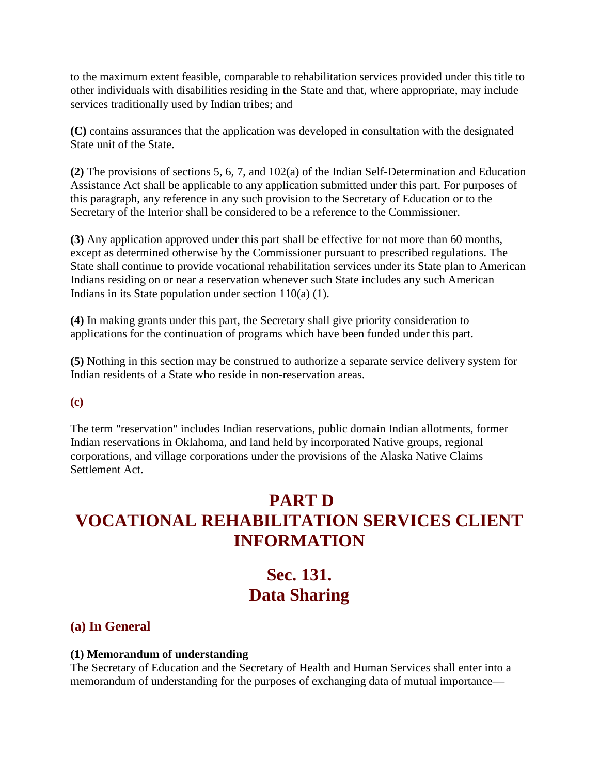to the maximum extent feasible, comparable to rehabilitation services provided under this title to other individuals with disabilities residing in the State and that, where appropriate, may include services traditionally used by Indian tribes; and

**(C)** contains assurances that the application was developed in consultation with the designated State unit of the State.

**(2)** The provisions of sections 5, 6, 7, and 102(a) of the Indian Self-Determination and Education Assistance Act shall be applicable to any application submitted under this part. For purposes of this paragraph, any reference in any such provision to the Secretary of Education or to the Secretary of the Interior shall be considered to be a reference to the Commissioner.

**(3)** Any application approved under this part shall be effective for not more than 60 months, except as determined otherwise by the Commissioner pursuant to prescribed regulations. The State shall continue to provide vocational rehabilitation services under its State plan to American Indians residing on or near a reservation whenever such State includes any such American Indians in its State population under section 110(a) (1).

**(4)** In making grants under this part, the Secretary shall give priority consideration to applications for the continuation of programs which have been funded under this part.

**(5)** Nothing in this section may be construed to authorize a separate service delivery system for Indian residents of a State who reside in non-reservation areas.

#### **(c)**

The term "reservation" includes Indian reservations, public domain Indian allotments, former Indian reservations in Oklahoma, and land held by incorporated Native groups, regional corporations, and village corporations under the provisions of the Alaska Native Claims Settlement Act.

# **PART D VOCATIONAL REHABILITATION SERVICES CLIENT INFORMATION**

# **Sec. 131. Data Sharing**

### **(a) In General**

#### **(1) Memorandum of understanding**

The Secretary of Education and the Secretary of Health and Human Services shall enter into a memorandum of understanding for the purposes of exchanging data of mutual importance